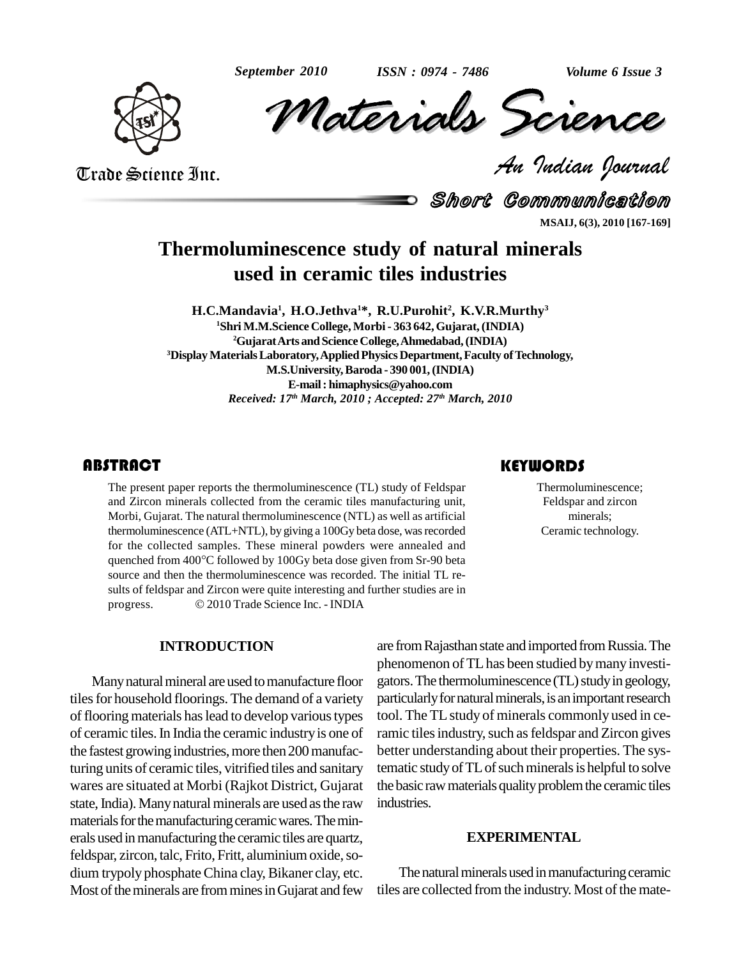

Volume 6 Issue 3<br> *CREMCE*<br> *Padian Pournal September 2010 Volume 6 Issue 3 Materials Science*

Trade Science Inc. Trade Science Inc.

Short Communication **MSAIJ, 6(3), 2010 [167-169]**

# **Thermoluminescence study of natural minerals used in ceramic tiles industries**

**H.C.Mandavia 1 , H.O.Jethva <sup>1</sup>\*, R.U.Purohit 2 , K.V.R.Murthy 3 <sup>1</sup>Shri M.M.Science College, Morbi- 363 642,Gujarat,(INDIA) <sup>2</sup>GujaratArts andScience College,Ahmedabad,(INDIA) <sup>3</sup>DisplayMaterialsLaboratory,AppliedPhysicsDepartment,Faculty ofTechnology, M.S.University,Baroda - 390 001,(INDIA) E-mail: [himaphysics@yahoo.com](mailto:himaphysics@yahoo.com)** *Received: 17 th March, 2010 ; Accepted: 27 th March, 2010*

## **ABSTRACT**

The present paper reports the thermoluminescence (TL) study of Feldspar<br>and Zircon minerals collected from the ceramic tiles manufacturing unit,<br>Morbi, Gujarat. The natural thermoluminescence (NTL) as well as artificial mi The present paper reports the thermoluminescence (TL) study of Feldspar and Zircon minerals collected from the ceramic tiles manufacturing unit, Morbi, Gujarat. The natural thermoluminescence (NTL) as well as artificial thermoluminescence (ATL+NTL), by giving a 100Gy beta dose, was recorded for the collected samples. These mineral powders were annealed and thermoluminescence (ATL+NTL), by giving a 100Gy beta dose, was recorded<br>for the collected samples. These mineral powders were annealed and<br>quenched from 400°C followed by 100Gy beta dose given from Sr-90 beta source and then the thermoluminescence was recorded. The initial TL re sults of feldspar and Zircon were quite interesting and further studies are in source and then the thermoluminescence was recorded. The initial<br>sults of feldspar and Zircon were quite interesting and further studie<br>progress. © 2010 Trade Science Inc. - INDIA

### **INTRODUCTION**

Many natural mineral are used to manufacture floor tiles for household floorings. The demand of a variety of flooring materials has lead to develop various types of ceramic tiles.In India the ceramic industryis one of the fastest growing industries, more then 200 manufacturing units of ceramic tiles, vitrified tiles and sanitary wares are situated at Morbi (Rajkot District, Gujarat state, India). Many natural minerals are used as the raw materials for the manufacturing ceramic wares. The minerals used in manufacturing the ceramic tiles are quartz, feldspar, zircon, talc, Frito, Fritt, aluminium oxide, sodium trypoly phosphate China clay, Bikaner clay, etc. Most of the minerals are from mines in Gujarat and few

are from Rajasthan state and imported from Russia. The phenomenon ofTLhas been studied bymany investi gators. The thermoluminescence (TL) study in geology, particularly for natural minerals, is an important research tool. The TLstudy of minerals commonly used in ceramic tiles industry, such as feldspar and Zircon gives better understanding about their properties. The systematic study of TL of such minerals is helpful to solve the basic raw materials quality problem the ceramic tiles industries.

### **EXPERIMENTAL**

The natural minerals used in manufacturing ceramic tiles are collected from the industry. Most of the mate-

## **KEYWORDS**

Thermoluminescence; Feldspar and zircon minerals; Ceramic technology.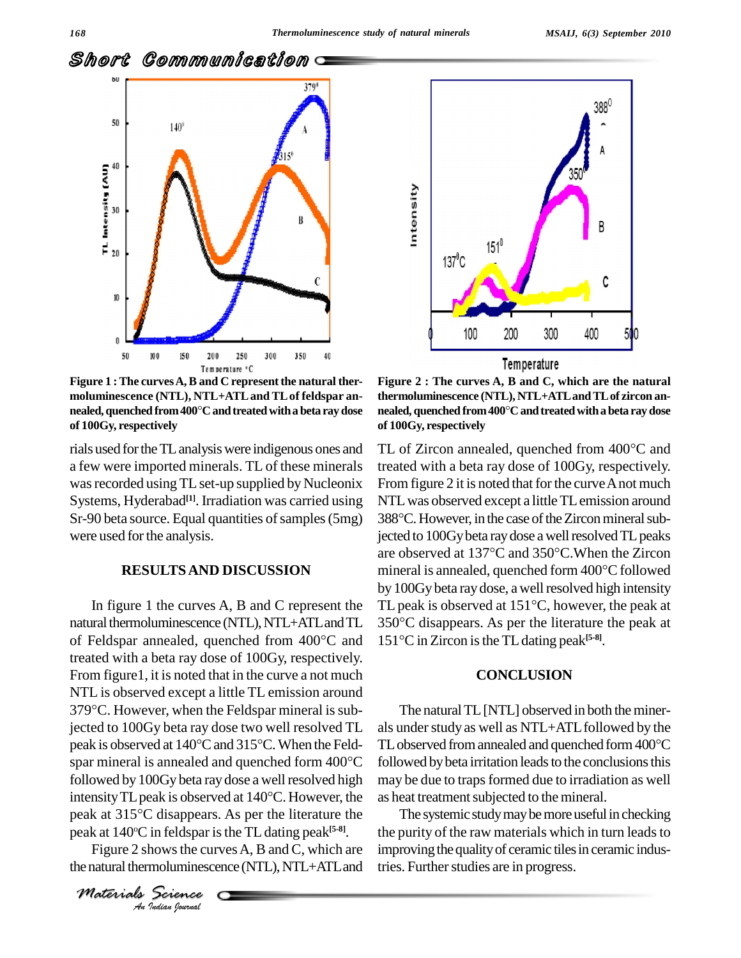

**Figure 1 :The curvesA,B and C representthe natural ther moluminescence (NTL), NTL+ATLand TLof feldspar an- Feature <sup>1</sup>C<br>Figure 1 : The curves A, B and C represent the natural thermoluminescence (NTL), NTL+ATL and TL of feldspar an-<br>nealed, quenched from 400°C and treated with a beta ray dose of 100Gy, respectively**

rials used fortheTLanalysiswere indigenous ones and a few were imported minerals. TL of these minerals was recorded using TL set-up supplied by Nucleonix Systems, Hyderabad<sup>[1]</sup>. Irradiation was carried using NTL w Sr-90 beta source. Equal quantities of samples (5mg) were used for the analysis.

#### **RESULTSAND DISCUSSION**

intensity TL peak is observed at 140°C. However, the peak at 315°C disappears. As per the literature the *I* disappears<br>*in feldspar is*<br>*indus the curmoluminesce*<br>*<u>Science</u>* natural thermoluminescence (NTL), NTL+ATL and TL 350°C di In figure 1 the curves A, B and C represent the TL pea<br>natural thermoluminescence (NTL), NTL+ATL and TL 350°C<br>of Feldspar annealed, quenched from 400°C and 151°C treated with a beta ray dose of 100Gy, respectively. From figure1, it is noted that in the curve a not much<br>NTL is observed except a little TL emission around<br>379°C. However, when the Feldspar mineral is sub-NTL is observed except a little TL emission around jected to 100Gy beta ray dose two well resolved TL 379°C. However, when the Feldspar mineral is subjected to 100Gy beta ray dose two well resolved TL also peak is observed at  $140^{\circ}$ C and  $315^{\circ}$ C. When the Feld-TL jected to 100Gy beta ray dose two well resolved TL als under s<br>peak is observed at 140°C and 315°C. When the Feld-<br>spar mineral is annealed and quenched form 400°C followed b followed by 100Gy beta ray dose a well resolved high may be<br>intensity TL peak is observed at 140°C. However, the as heat<br>peak at 315°C disappears. As per the literature the The spar mineral is annealed and quenched form  $400^{\circ}$ C peak at 140°C in feldspar is the TL dating peak<sup>[5-8]</sup>. t

Figure 2 shows the curves A, B and C, which are the natural thermoluminescence (NTL), NTL+ATL and

*Materials Science*



nealed, quenched from 400°C and treated with a beta ray dose<br>of 100Gy, respectively<br>TL of Zircon annealed, quenched from 400°C and Figure 2 : The curves A, B and C, which are the natural<br>thermoluminescence (NTL), NTL+ATL and TL of zircon an-<br>nealed, quenched from 400°C and treated with a beta ray dose **thermoluminescence (NTL), NTL+ATLandTLof zircon an of 100Gy, respectively**

In figure 1 the curves A, B and C represent the TL peak is observed at  $151^{\circ}$ C, however, the peak at treated with a beta ray dose of 100Gy, respectively. From figure 2 it is noted that for the curve A not much<br>NTL was observed except a little TL emission around<br>388°C. However, in the case of the Zircon mineral sub-NTL was observed except a little TL emission around jected to 100Gy beta ray dose a well resolved TL peaks 388°C. However, in the case of the Zircon mineral sub-<br>jected to 100Gy beta ray dose a well resolved TL peaks<br>are observed at  $137^{\circ}$ C and  $350^{\circ}$ C. When the Zircon mineral is annealed, quenched form  $400^{\circ}$ C followed by 100Gy beta ray dose, a well resolved high intensity mineral is annealed, quenched form 400°C followed<br>by 100Gy beta ray dose, a well resolved high intensity<br>TL peak is observed at 151°C, however, the peak at by 100Gy beta ray dose, a well resolved high intensity<br>TL peak is observed at 151°C, however, the peak at<br>350°C disappears. As per the literature the peak at  $150^{\circ}$ C disappears. As per the literature the peak at 151°C in Zircon is the TL dating peak<sup>[5-8]</sup>.

### **CONCLUSION**

The natural TL [NTL] observed in both the minerals under study as well as NTL+ATL followed by the TL observed from annealed and quenched form 400°C followed by beta irritation leads to the conclusions this may be due to traps formed due to irradiation as well as heat treatment subjected to the mineral.

The systemic study may be more useful in checking the purity of the raw materials which in turn leads to improving the quality of ceramic tiles in ceramic industries. Further studies are in progress.